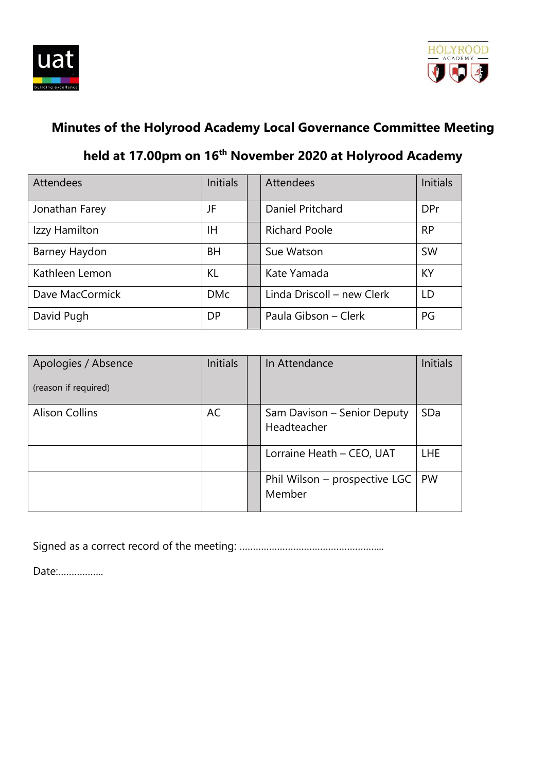



# **Minutes of the Holyrood Academy Local Governance Committee Meeting**

# **held at 17.00pm on 16 th November 2020 at Holyrood Academy**

| <b>Attendees</b> | <b>Initials</b> | <b>Attendees</b>           | <b>Initials</b> |
|------------------|-----------------|----------------------------|-----------------|
| Jonathan Farey   | JF              | Daniel Pritchard           | <b>DPr</b>      |
| Izzy Hamilton    | ΙH              | <b>Richard Poole</b>       | <b>RP</b>       |
| Barney Haydon    | <b>BH</b>       | Sue Watson                 | <b>SW</b>       |
| Kathleen Lemon   | <b>KL</b>       | Kate Yamada                | KY              |
| Dave MacCormick  | <b>DMc</b>      | Linda Driscoll – new Clerk | LD              |
| David Pugh       | <b>DP</b>       | Paula Gibson - Clerk       | PG              |

| Apologies / Absence<br>(reason if required) | <b>Initials</b> | In Attendance                              | <b>Initials</b> |
|---------------------------------------------|-----------------|--------------------------------------------|-----------------|
| <b>Alison Collins</b>                       | AC              | Sam Davison - Senior Deputy<br>Headteacher | SDa             |
|                                             |                 | Lorraine Heath - CEO, UAT                  | <b>LHE</b>      |
|                                             |                 | Phil Wilson – prospective LGC<br>Member    | <b>PW</b>       |

Signed as a correct record of the meeting: ……………………………………………...

Date:……………..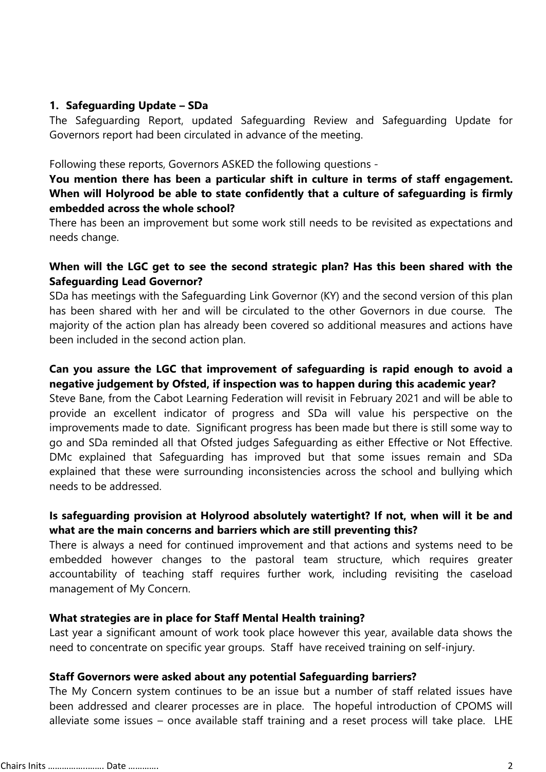### **1. Safeguarding Update – SDa**

The Safeguarding Report, updated Safeguarding Review and Safeguarding Update for Governors report had been circulated in advance of the meeting.

#### Following these reports, Governors ASKED the following questions -

### **You mention there has been a particular shift in culture in terms of staff engagement. When will Holyrood be able to state confidently that a culture of safeguarding is firmly embedded across the whole school?**

There has been an improvement but some work still needs to be revisited as expectations and needs change.

### **When will the LGC get to see the second strategic plan? Has this been shared with the Safeguarding Lead Governor?**

SDa has meetings with the Safeguarding Link Governor (KY) and the second version of this plan has been shared with her and will be circulated to the other Governors in due course. The majority of the action plan has already been covered so additional measures and actions have been included in the second action plan.

#### **Can you assure the LGC that improvement of safeguarding is rapid enough to avoid a negative judgement by Ofsted, if inspection was to happen during this academic year?**

Steve Bane, from the Cabot Learning Federation will revisit in February 2021 and will be able to provide an excellent indicator of progress and SDa will value his perspective on the improvements made to date. Significant progress has been made but there is still some way to go and SDa reminded all that Ofsted judges Safeguarding as either Effective or Not Effective. DMc explained that Safeguarding has improved but that some issues remain and SDa explained that these were surrounding inconsistencies across the school and bullying which needs to be addressed.

### **Is safeguarding provision at Holyrood absolutely watertight? If not, when will it be and what are the main concerns and barriers which are still preventing this?**

There is always a need for continued improvement and that actions and systems need to be embedded however changes to the pastoral team structure, which requires greater accountability of teaching staff requires further work, including revisiting the caseload management of My Concern.

### **What strategies are in place for Staff Mental Health training?**

Last year a significant amount of work took place however this year, available data shows the need to concentrate on specific year groups. Staff have received training on self-injury.

### **Staff Governors were asked about any potential Safeguarding barriers?**

The My Concern system continues to be an issue but a number of staff related issues have been addressed and clearer processes are in place. The hopeful introduction of CPOMS will alleviate some issues – once available staff training and a reset process will take place. LHE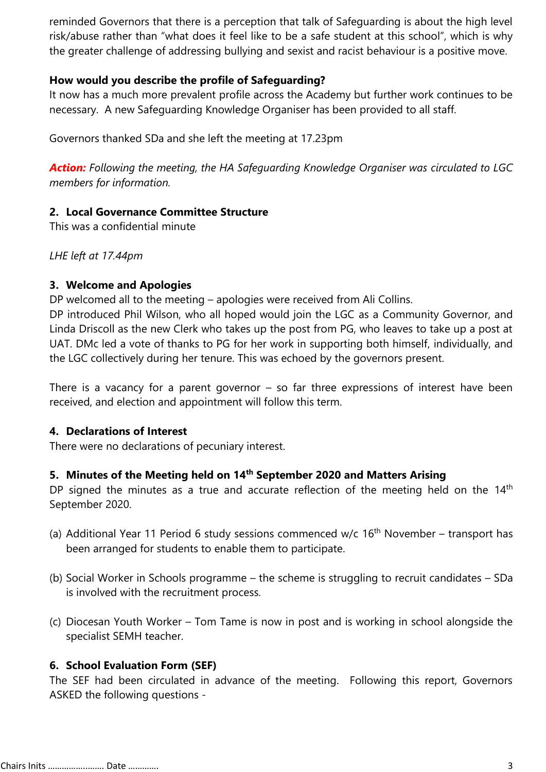reminded Governors that there is a perception that talk of Safeguarding is about the high level risk/abuse rather than "what does it feel like to be a safe student at this school", which is why the greater challenge of addressing bullying and sexist and racist behaviour is a positive move.

### **How would you describe the profile of Safeguarding?**

It now has a much more prevalent profile across the Academy but further work continues to be necessary. A new Safeguarding Knowledge Organiser has been provided to all staff.

Governors thanked SDa and she left the meeting at 17.23pm

*Action: Following the meeting, the HA Safeguarding Knowledge Organiser was circulated to LGC members for information.*

### **2. Local Governance Committee Structure**

This was a confidential minute

*LHE left at 17.44pm*

### **3. Welcome and Apologies**

DP welcomed all to the meeting – apologies were received from Ali Collins.

DP introduced Phil Wilson, who all hoped would join the LGC as a Community Governor, and Linda Driscoll as the new Clerk who takes up the post from PG, who leaves to take up a post at UAT. DMc led a vote of thanks to PG for her work in supporting both himself, individually, and the LGC collectively during her tenure. This was echoed by the governors present.

There is a vacancy for a parent governor  $-$  so far three expressions of interest have been received, and election and appointment will follow this term.

### **4. Declarations of Interest**

There were no declarations of pecuniary interest.

### **5. Minutes of the Meeting held on 14th September 2020 and Matters Arising**

DP signed the minutes as a true and accurate reflection of the meeting held on the  $14<sup>th</sup>$ September 2020.

- (a) Additional Year 11 Period 6 study sessions commenced w/c  $16<sup>th</sup>$  November transport has been arranged for students to enable them to participate.
- (b) Social Worker in Schools programme the scheme is struggling to recruit candidates SDa is involved with the recruitment process.
- (c) Diocesan Youth Worker Tom Tame is now in post and is working in school alongside the specialist SEMH teacher.

### **6. School Evaluation Form (SEF)**

The SEF had been circulated in advance of the meeting. Following this report, Governors ASKED the following questions -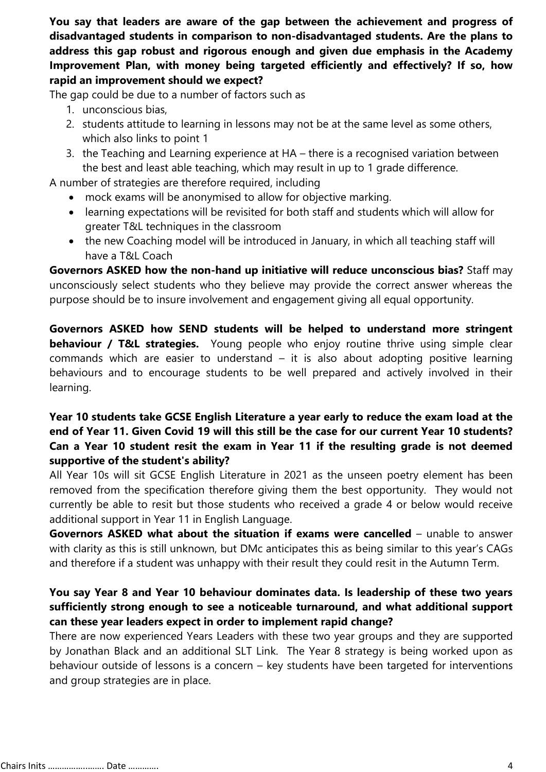**You say that leaders are aware of the gap between the achievement and progress of disadvantaged students in comparison to non-disadvantaged students. Are the plans to address this gap robust and rigorous enough and given due emphasis in the Academy Improvement Plan, with money being targeted efficiently and effectively? If so, how rapid an improvement should we expect?**

The gap could be due to a number of factors such as

- 1. unconscious bias,
- 2. students attitude to learning in lessons may not be at the same level as some others, which also links to point 1
- 3. the Teaching and Learning experience at HA there is a recognised variation between the best and least able teaching, which may result in up to 1 grade difference.

A number of strategies are therefore required, including

- mock exams will be anonymised to allow for objective marking.
- learning expectations will be revisited for both staff and students which will allow for greater T&L techniques in the classroom
- the new Coaching model will be introduced in January, in which all teaching staff will have a T&L Coach

**Governors ASKED how the non-hand up initiative will reduce unconscious bias?** Staff may unconsciously select students who they believe may provide the correct answer whereas the purpose should be to insure involvement and engagement giving all equal opportunity.

**Governors ASKED how SEND students will be helped to understand more stringent behaviour / T&L strategies.** Young people who enjoy routine thrive using simple clear commands which are easier to understand – it is also about adopting positive learning behaviours and to encourage students to be well prepared and actively involved in their learning.

## **Year 10 students take GCSE English Literature a year early to reduce the exam load at the end of Year 11. Given Covid 19 will this still be the case for our current Year 10 students? Can a Year 10 student resit the exam in Year 11 if the resulting grade is not deemed supportive of the student's ability?**

All Year 10s will sit GCSE English Literature in 2021 as the unseen poetry element has been removed from the specification therefore giving them the best opportunity. They would not currently be able to resit but those students who received a grade 4 or below would receive additional support in Year 11 in English Language.

**Governors ASKED what about the situation if exams were cancelled** – unable to answer with clarity as this is still unknown, but DMc anticipates this as being similar to this year's CAGs and therefore if a student was unhappy with their result they could resit in the Autumn Term.

### **You say Year 8 and Year 10 behaviour dominates data. Is leadership of these two years sufficiently strong enough to see a noticeable turnaround, and what additional support can these year leaders expect in order to implement rapid change?**

There are now experienced Years Leaders with these two year groups and they are supported by Jonathan Black and an additional SLT Link. The Year 8 strategy is being worked upon as behaviour outside of lessons is a concern – key students have been targeted for interventions and group strategies are in place.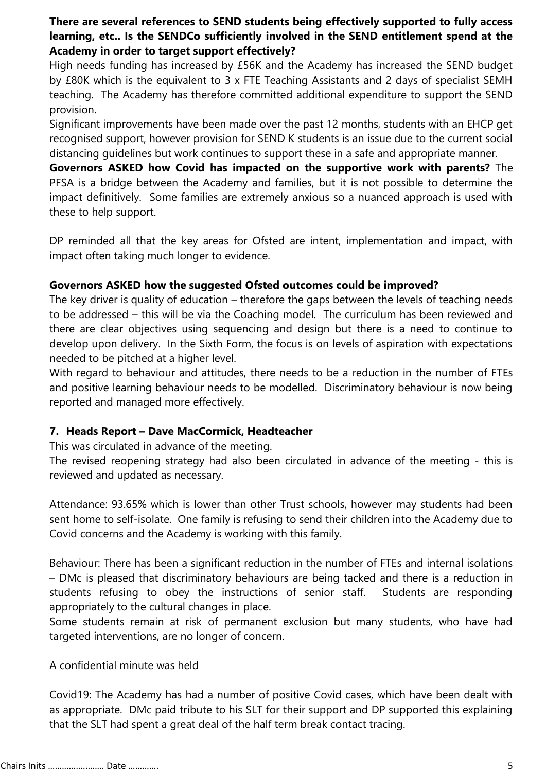### **There are several references to SEND students being effectively supported to fully access learning, etc.. Is the SENDCo sufficiently involved in the SEND entitlement spend at the Academy in order to target support effectively?**

High needs funding has increased by £56K and the Academy has increased the SEND budget by £80K which is the equivalent to 3 x FTE Teaching Assistants and 2 days of specialist SEMH teaching. The Academy has therefore committed additional expenditure to support the SEND provision.

Significant improvements have been made over the past 12 months, students with an EHCP get recognised support, however provision for SEND K students is an issue due to the current social distancing guidelines but work continues to support these in a safe and appropriate manner.

**Governors ASKED how Covid has impacted on the supportive work with parents?** The PFSA is a bridge between the Academy and families, but it is not possible to determine the impact definitively. Some families are extremely anxious so a nuanced approach is used with these to help support.

DP reminded all that the key areas for Ofsted are intent, implementation and impact, with impact often taking much longer to evidence.

### **Governors ASKED how the suggested Ofsted outcomes could be improved?**

The key driver is quality of education – therefore the gaps between the levels of teaching needs to be addressed – this will be via the Coaching model. The curriculum has been reviewed and there are clear objectives using sequencing and design but there is a need to continue to develop upon delivery. In the Sixth Form, the focus is on levels of aspiration with expectations needed to be pitched at a higher level.

With regard to behaviour and attitudes, there needs to be a reduction in the number of FTEs and positive learning behaviour needs to be modelled. Discriminatory behaviour is now being reported and managed more effectively.

### **7. Heads Report – Dave MacCormick, Headteacher**

This was circulated in advance of the meeting.

The revised reopening strategy had also been circulated in advance of the meeting - this is reviewed and updated as necessary.

Attendance: 93.65% which is lower than other Trust schools, however may students had been sent home to self-isolate. One family is refusing to send their children into the Academy due to Covid concerns and the Academy is working with this family.

Behaviour: There has been a significant reduction in the number of FTEs and internal isolations – DMc is pleased that discriminatory behaviours are being tacked and there is a reduction in students refusing to obey the instructions of senior staff. Students are responding appropriately to the cultural changes in place.

Some students remain at risk of permanent exclusion but many students, who have had targeted interventions, are no longer of concern.

### A confidential minute was held

Covid19: The Academy has had a number of positive Covid cases, which have been dealt with as appropriate. DMc paid tribute to his SLT for their support and DP supported this explaining that the SLT had spent a great deal of the half term break contact tracing.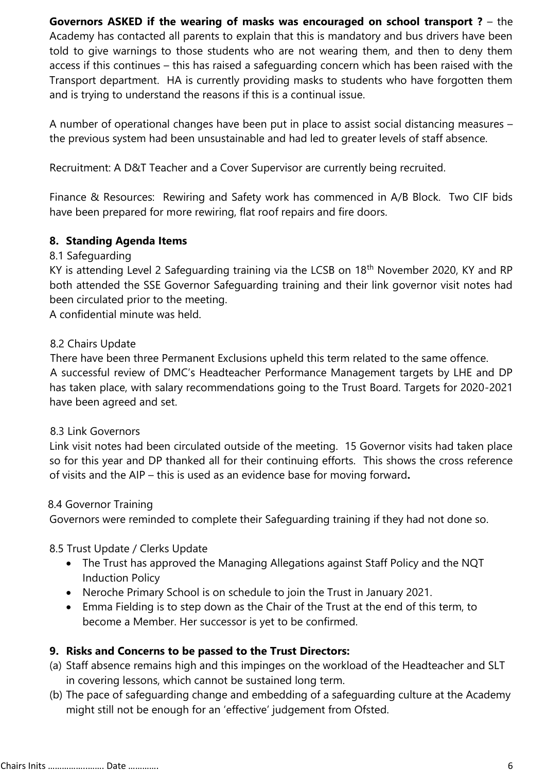**Governors ASKED if the wearing of masks was encouraged on school transport ?** – the Academy has contacted all parents to explain that this is mandatory and bus drivers have been told to give warnings to those students who are not wearing them, and then to deny them access if this continues – this has raised a safeguarding concern which has been raised with the Transport department. HA is currently providing masks to students who have forgotten them and is trying to understand the reasons if this is a continual issue.

A number of operational changes have been put in place to assist social distancing measures – the previous system had been unsustainable and had led to greater levels of staff absence.

Recruitment: A D&T Teacher and a Cover Supervisor are currently being recruited.

Finance & Resources: Rewiring and Safety work has commenced in A/B Block. Two CIF bids have been prepared for more rewiring, flat roof repairs and fire doors.

### **8. Standing Agenda Items**

### 8.1 Safeguarding

KY is attending Level 2 Safeguarding training via the LCSB on 18<sup>th</sup> November 2020, KY and RP both attended the SSE Governor Safeguarding training and their link governor visit notes had been circulated prior to the meeting.

A confidential minute was held.

#### 8.2 Chairs Update

There have been three Permanent Exclusions upheld this term related to the same offence. A successful review of DMC's Headteacher Performance Management targets by LHE and DP has taken place, with salary recommendations going to the Trust Board. Targets for 2020-2021 have been agreed and set.

### 8.3 Link Governors

Link visit notes had been circulated outside of the meeting. 15 Governor visits had taken place so for this year and DP thanked all for their continuing efforts. This shows the cross reference of visits and the AIP – this is used as an evidence base for moving forward**.**

#### 8.4 Governor Training

Governors were reminded to complete their Safeguarding training if they had not done so.

### 8.5 Trust Update / Clerks Update

- The Trust has approved the Managing Allegations against Staff Policy and the NQT Induction Policy
- Neroche Primary School is on schedule to join the Trust in January 2021.
- Emma Fielding is to step down as the Chair of the Trust at the end of this term, to become a Member. Her successor is yet to be confirmed.

### **9. Risks and Concerns to be passed to the Trust Directors:**

- (a) Staff absence remains high and this impinges on the workload of the Headteacher and SLT in covering lessons, which cannot be sustained long term.
- (b) The pace of safeguarding change and embedding of a safeguarding culture at the Academy might still not be enough for an 'effective' judgement from Ofsted.